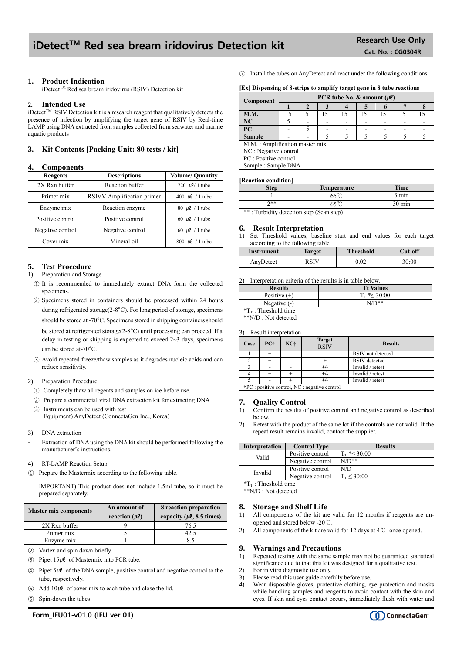## iDetect<sup>™</sup> Red sea bream iridovirus Detection kit Research Use Only

### **1. Product Indication**

iDetect™ Red sea bream iridovirus (RSIV) Detection kit

#### **2. Intended Use**

iDetect $T^{\text{M}}$  RSIV Detection kit is a research reagent that qualitatively detects the presence of infection by amplifying the target gene of RSIV by Real-time LAMP using DNA extracted from samples collected from seawater and marine aquatic products

## **3. Kit Contents [Packing Unit: 80 tests / kit]**

#### **4. Components**

| <b>Reagents</b>  | <b>Descriptions</b>        | <b>Volume/ Quantity</b> |
|------------------|----------------------------|-------------------------|
| 2X Rxn buffer    | Reaction buffer            | 720 $\mu$ l/ 1 tube     |
| Primer mix       | RSIVV Amplification primer | 400 $\mu$ l / 1 tube    |
| Enzyme mix       | Reaction enzyme            | 80 $\mu$ l / 1 tube     |
| Positive control | Positive control           | 60 $\mu$ l / 1 tube     |
| Negative control | Negative control           | 60 $\mu$ l / 1 tube     |
| Cover mix        | Mineral oil                | 800 $\mu$ l / 1 tube    |

## **5. Test Procedure**

- 1) Preparation and Storage
	- ① It is recommended to immediately extract DNA form the collected specimens.
	- ② Specimens stored in containers should be processed within 24 hours during refrigerated storage(2-8°C). For long period of storage, specimens should be stored at -70°C. Specimens stored in shipping containers should be stored at refrigerated storage(2-8°C) until processing can proceed. If a delay in testing or shipping is expected to exceed 2~3 days, specimens can be stored at-70°C.
	- ③ Avoid repeated freeze/thaw samples as it degrades nucleic acids and can reduce sensitivity.
- 2) Preparation Procedure
	- ① Completely thaw all regents and samples on ice before use.
	- ② Prepare a commercial viral DNA extraction kit for extracting DNA
- ③ Instruments can be used with test Equipment) AnyDetect (ConnectaGen Inc., Korea)
- 3) DNA extraction
- Extraction of DNA using the DNA kit should be performed following the manufacturer's instructions.
- 4) RT-LAMP Reaction Setup
- ① Prepare the Mastermix according to the following table.

IMPORTANT) This product does not include 1.5ml tube, so it must be prepared separately.

| <b>Master mix components</b> | An amount of          | 8 reaction preparation                 |  |
|------------------------------|-----------------------|----------------------------------------|--|
|                              | reaction $(\mu \ell)$ | capacity ( $\mu$ <b>e</b> , 8.5 times) |  |
| 2X Rxn buffer                |                       | 76.5                                   |  |
| Primer mix                   |                       | 17. -                                  |  |
| Enzyme mix                   |                       |                                        |  |
|                              |                       |                                        |  |

- ② Vortex and spin down briefly.
- $\textcircled{3}$  Pipet 15µl of Mastermix into PCR tube.
- $\circledA$  Pipet 5µl of the DNA sample, positive control and negative control to the tube, respectively.
- $\circ$  Add 10µl of cover mix to each tube and close the lid.
- ⑥ Spin-down the tubes

⑦ Install the tubes on AnyDetect and react under the following conditions.

**[Ex] Dispensing of 8-strips to amplify target gene in 8 tube reactions**

| Component                      | PCR tube No. & amount $(\mu \ell)$ |    |    |    |    |  |   |    |
|--------------------------------|------------------------------------|----|----|----|----|--|---|----|
|                                |                                    |    | З  |    |    |  |   |    |
| <b>M.M.</b>                    | 15                                 | 15 | 15 | 15 | 15 |  |   | 15 |
| NC                             |                                    |    |    |    |    |  |   |    |
| <b>PC</b>                      |                                    |    |    |    |    |  |   |    |
| <b>Sample</b>                  |                                    |    |    |    |    |  | 5 |    |
| M.M.: Amplification master mix |                                    |    |    |    |    |  |   |    |
| NC : Negative control          |                                    |    |    |    |    |  |   |    |
| PC : Positive control          |                                    |    |    |    |    |  |   |    |
| Sample: Sample DNA             |                                    |    |    |    |    |  |   |    |

#### **[Reaction condition]**

| <b>Step</b>                              | <b>Temperature</b> | <b>Time</b>      |  |  |
|------------------------------------------|--------------------|------------------|--|--|
|                                          |                    | 3 min            |  |  |
| ን**                                      |                    | $30 \text{ min}$ |  |  |
| **: Turbidity detection step (Scan step) |                    |                  |  |  |

#### **6. Result Interpretation**

1) Set Threshold values, baseline start and end values for each target according to the following table.

| Instrument | <b>Target</b> | <b>Threshold</b> | Cut-off |
|------------|---------------|------------------|---------|
| AnyDetect  | D CTV         | 0.02             | 30:00   |

2) Interpretation criteria of the results is in table below.

| <b>Results</b>               | <b>Tt Values</b>     |
|------------------------------|----------------------|
| Positive $(+)$               | $T_{\rm T}$ *< 30:00 |
| Negative $(-)$               | $N/D**$              |
| $T_{\rm T}$ : Threshold time |                      |
| **N/D : Not detected         |                      |

3) Result interpretation

|      |                                                         | $NC+$ |  |                      | <b>Target</b> | <b>Results</b> |
|------|---------------------------------------------------------|-------|--|----------------------|---------------|----------------|
| Case | PC+                                                     |       |  |                      | <b>RSIV</b>   |                |
|      |                                                         |       |  | RSIV not detected    |               |                |
|      |                                                         |       |  | <b>RSIV</b> detected |               |                |
|      |                                                         |       |  | Invalid / retest     |               |                |
|      |                                                         |       |  | Invalid / retest     |               |                |
|      |                                                         |       |  | Invalid / retest     |               |                |
|      | $\uparrow$ PC : positive control, NC : negative control |       |  |                      |               |                |

## **7. Quality Control**

- 1) Confirm the results of positive control and negative control as described below.
- 2) Retest with the product of the same lot if the controls are not valid. If the repeat result remains invalid, contact the supplier.

| <b>Interpretation</b>        | <b>Control Type</b> | <b>Results</b>         |  |  |
|------------------------------|---------------------|------------------------|--|--|
| Valid                        | Positive control    | $T_{\rm T}$ *< 30:00   |  |  |
|                              | Negative control    | $N/D**$                |  |  |
| Invalid                      | Positive control    | N/D                    |  |  |
|                              | Negative control    | $T_{\rm T} \leq 30:00$ |  |  |
| $T_{\rm T}$ : Threshold time |                     |                        |  |  |
| **N/D : Not detected         |                     |                        |  |  |

#### **8. Storage and Shelf Life**

- 1) All components of the kit are valid for 12 months if reagents are unopened and stored below -20℃.
- 2) All components of the kit are valid for 12 days at 4℃ once opened.

#### **9. Warnings and Precautions**

- 1) Repeated testing with the same sample may not be guaranteed statistical significance due to that this kit was designed for a qualitative test.
- 2) For in vitro diagnostic use only.
- 3) Please read this user guide carefully before use.<br> $\Delta$  Wear disposable gloves protective clothing example. Wear disposable gloves, protective clothing, eye protection and masks while handling samples and reagents to avoid contact with the skin and eyes. If skin and eyes contact occurs, immediately flush with water and